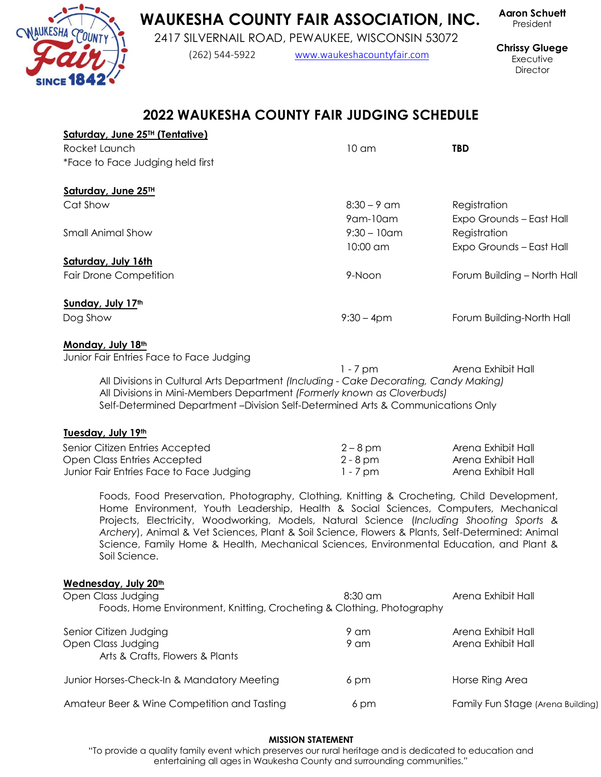## **WAUKESHA COUNTY FAIR ASSOCIATION, INC.**

2417 SILVERNAIL ROAD, PEWAUKEE, WISCONSIN 53072

(262) 544-5922 [www.waukeshacountyfair.com](../../../../../AppData/Local/Microsoft/Windows/INetCache/Content.Outlook/2017/www.waukeshacountyfair.com)

President

**Chrissy Gluege** Executive **Director** 

**Aaron Schuett**

# **2022 WAUKESHA COUNTY FAIR JUDGING SCHEDULE**

| Saturday, June 25 <sup>TH</sup> (Tentative)<br>Rocket Launch                                                                                                                                                                                                                                                                                                                                                                                                                                   | 10 <sub>cm</sub>            | <b>TBD</b>                               |
|------------------------------------------------------------------------------------------------------------------------------------------------------------------------------------------------------------------------------------------------------------------------------------------------------------------------------------------------------------------------------------------------------------------------------------------------------------------------------------------------|-----------------------------|------------------------------------------|
| *Face to Face Judging held first                                                                                                                                                                                                                                                                                                                                                                                                                                                               |                             |                                          |
| Saturday, June 25TH                                                                                                                                                                                                                                                                                                                                                                                                                                                                            |                             |                                          |
| Cat Show                                                                                                                                                                                                                                                                                                                                                                                                                                                                                       | $8:30 - 9$ am<br>9 am-10 am | Registration<br>Expo Grounds - East Hall |
| <b>Small Animal Show</b>                                                                                                                                                                                                                                                                                                                                                                                                                                                                       | $9:30 - 10$ am<br>10:00 am  | Registration<br>Expo Grounds - East Hall |
| Saturday, July 16th                                                                                                                                                                                                                                                                                                                                                                                                                                                                            |                             |                                          |
| <b>Fair Drone Competition</b>                                                                                                                                                                                                                                                                                                                                                                                                                                                                  | 9-Noon                      | Forum Building - North Hall              |
| Sunday, July 17th                                                                                                                                                                                                                                                                                                                                                                                                                                                                              |                             |                                          |
| Dog Show                                                                                                                                                                                                                                                                                                                                                                                                                                                                                       | $9:30 - 4pm$                | Forum Building-North Hall                |
| Monday, July 18th                                                                                                                                                                                                                                                                                                                                                                                                                                                                              |                             |                                          |
| Junior Fair Entries Face to Face Judging                                                                                                                                                                                                                                                                                                                                                                                                                                                       | $1 - 7$ pm                  | Arena Exhibit Hall                       |
| All Divisions in Cultural Arts Department (Including - Cake Decorating, Candy Making)<br>All Divisions in Mini-Members Department (Formerly known as Cloverbuds)<br>Self-Determined Department-Division Self-Determined Arts & Communications Only                                                                                                                                                                                                                                             |                             |                                          |
| Tuesday, July 19th                                                                                                                                                                                                                                                                                                                                                                                                                                                                             |                             |                                          |
| Senior Citizen Entries Accepted                                                                                                                                                                                                                                                                                                                                                                                                                                                                | $2 - 8$ pm                  | Arena Exhibit Hall                       |
| Open Class Entries Accepted                                                                                                                                                                                                                                                                                                                                                                                                                                                                    | $2 - 8$ pm                  | Arena Exhibit Hall                       |
| Junior Fair Entries Face to Face Judging                                                                                                                                                                                                                                                                                                                                                                                                                                                       | $1 - 7$ pm                  | Arena Exhibit Hall                       |
| Foods, Food Preservation, Photography, Clothing, Knitting & Crocheting, Child Development,<br>Home Environment, Youth Leadership, Health & Social Sciences, Computers, Mechanical<br>Projects, Electricity, Woodworking, Models, Natural Science (Including Shooting Sports &<br>Archery), Animal & Vet Sciences, Plant & Soil Science, Flowers & Plants, Self-Determined: Animal<br>Science, Family Home & Health, Mechanical Sciences, Environmental Education, and Plant &<br>Soil Science. |                             |                                          |
| Wednesday, July 20th<br>Open Class Judging<br>Foods, Home Environment, Knitting, Crocheting & Clothing, Photography                                                                                                                                                                                                                                                                                                                                                                            | 8:30 am                     | Arena Exhibit Hall                       |
| Senior Citizen Judging<br>Open Class Judging<br>Arts & Crafts, Flowers & Plants                                                                                                                                                                                                                                                                                                                                                                                                                | 9 am<br>9 am                | Arena Exhibit Hall<br>Arena Exhibit Hall |
| Junior Horses-Check-In & Mandatory Meeting                                                                                                                                                                                                                                                                                                                                                                                                                                                     | 6 pm                        | Horse Ring Area                          |
| Amateur Beer & Wine Competition and Tasting                                                                                                                                                                                                                                                                                                                                                                                                                                                    | 6 pm                        | Family Fun Stage (Arena Building)        |

### **MISSION STATEMENT**

"To provide a quality family event which preserves our rural heritage and is dedicated to education and entertaining all ages in Waukesha County and surrounding communities."